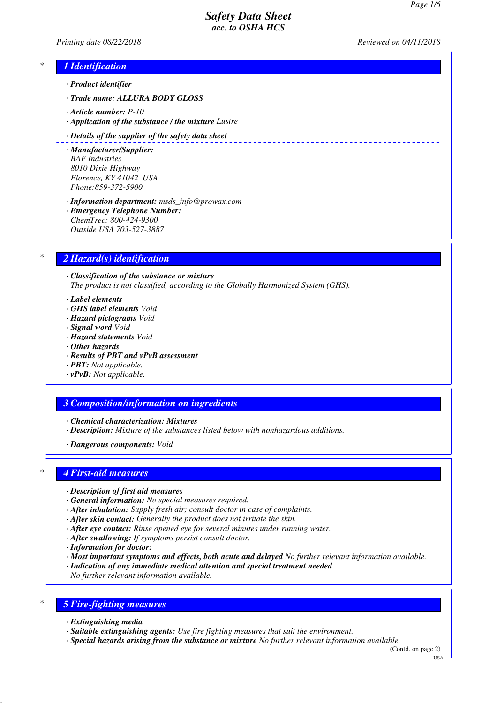*Printing date 08/22/2018 Reviewed on 04/11/2018*

## *\* 1 Identification*

- *· Product identifier*
- *· Trade name: ALLURA BODY GLOSS*
- *· Article number: P-10*
- *· Application of the substance / the mixture Lustre*

#### *· Details of the supplier of the safety data sheet*

- *· Manufacturer/Supplier: BAF Industries 8010 Dixie Highway Florence, KY 41042 USA Phone:859-372-5900*
- *· Information department: msds\_info@prowax.com · Emergency Telephone Number: ChemTrec: 800-424-9300 Outside USA 703-527-3887*

## *\* 2 Hazard(s) identification*

*· Classification of the substance or mixture The product is not classified, according to the Globally Harmonized System (GHS).*

- *· Label elements*
- *· GHS label elements Void*
- *· Hazard pictograms Void*
- *· Signal word Void*
- *· Hazard statements Void*
- *· Other hazards*
- *· Results of PBT and vPvB assessment*
- *· PBT: Not applicable.*
- *· vPvB: Not applicable.*

### *3 Composition/information on ingredients*

- *· Chemical characterization: Mixtures*
- *· Description: Mixture of the substances listed below with nonhazardous additions.*
- *· Dangerous components: Void*

### *\* 4 First-aid measures*

- *· Description of first aid measures*
- *· General information: No special measures required.*
- *· After inhalation: Supply fresh air; consult doctor in case of complaints.*
- *· After skin contact: Generally the product does not irritate the skin.*
- *· After eye contact: Rinse opened eye for several minutes under running water.*
- *· After swallowing: If symptoms persist consult doctor.*
- *· Information for doctor:*
- *· Most important symptoms and effects, both acute and delayed No further relevant information available.*
- *· Indication of any immediate medical attention and special treatment needed*
- *No further relevant information available.*

# *\* 5 Fire-fighting measures*

- *· Extinguishing media*
- *· Suitable extinguishing agents: Use fire fighting measures that suit the environment.*
- *· Special hazards arising from the substance or mixture No further relevant information available.*

(Contd. on page 2)  $-1$ ISA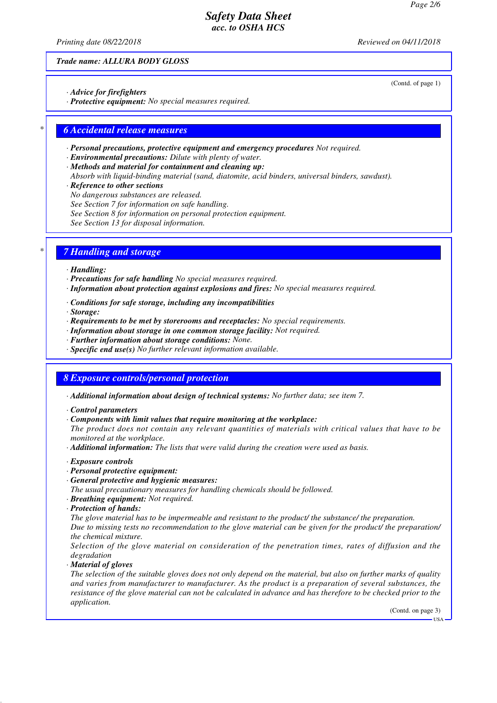*Printing date 08/22/2018 Reviewed on 04/11/2018*

(Contd. of page 1)

*Trade name: ALLURA BODY GLOSS*

*· Advice for firefighters*

*· Protective equipment: No special measures required.*

### *\* 6 Accidental release measures*

- *· Personal precautions, protective equipment and emergency procedures Not required.*
- *· Environmental precautions: Dilute with plenty of water.*
- *· Methods and material for containment and cleaning up:*
- *Absorb with liquid-binding material (sand, diatomite, acid binders, universal binders, sawdust).*
- *· Reference to other sections*
- *No dangerous substances are released.*
- *See Section 7 for information on safe handling.*
- *See Section 8 for information on personal protection equipment.*
- *See Section 13 for disposal information.*

### *\* 7 Handling and storage*

#### *· Handling:*

- *· Precautions for safe handling No special measures required.*
- *· Information about protection against explosions and fires: No special measures required.*
- *· Conditions for safe storage, including any incompatibilities*
- *· Storage:*
- *· Requirements to be met by storerooms and receptacles: No special requirements.*
- *· Information about storage in one common storage facility: Not required.*
- *· Further information about storage conditions: None.*
- *· Specific end use(s) No further relevant information available.*

### *8 Exposure controls/personal protection*

- *· Additional information about design of technical systems: No further data; see item 7.*
- *· Control parameters*
- *· Components with limit values that require monitoring at the workplace:*
- *The product does not contain any relevant quantities of materials with critical values that have to be monitored at the workplace.*
- *· Additional information: The lists that were valid during the creation were used as basis.*
- *· Exposure controls*
- *· Personal protective equipment:*
- *· General protective and hygienic measures:*

*The usual precautionary measures for handling chemicals should be followed.*

- *· Breathing equipment: Not required.*
- *· Protection of hands:*

*The glove material has to be impermeable and resistant to the product/ the substance/ the preparation.*

*Due to missing tests no recommendation to the glove material can be given for the product/ the preparation/ the chemical mixture.*

*Selection of the glove material on consideration of the penetration times, rates of diffusion and the degradation*

*· Material of gloves*

*The selection of the suitable gloves does not only depend on the material, but also on further marks of quality and varies from manufacturer to manufacturer. As the product is a preparation of several substances, the resistance of the glove material can not be calculated in advance and has therefore to be checked prior to the application.*

(Contd. on page 3)

USA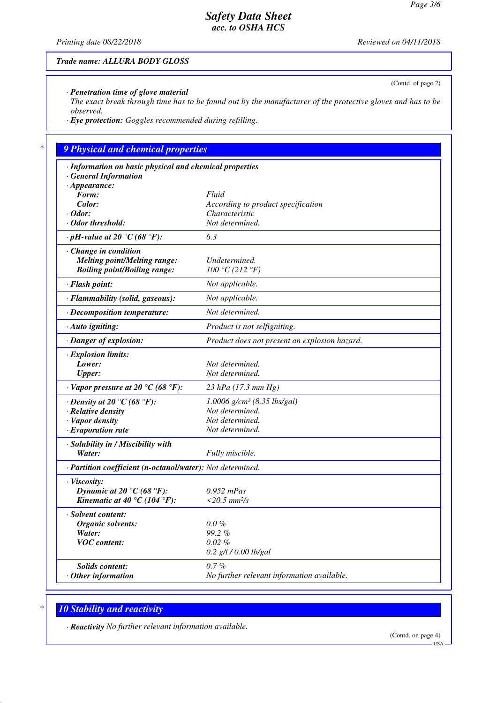(Contd. of page 2)

# *Safety Data Sheet acc. to OSHA HCS*

*Printing date 08/22/2018 Reviewed on 04/11/2018*

#### *Trade name: ALLURA BODY GLOSS*

*· Penetration time of glove material*

*The exact break through time has to be found out by the manufacturer of the protective gloves and has to be observed.*

*· Eye protection: Goggles recommended during refilling.*

## *\* 9 Physical and chemical properties*

| · Information on basic physical and chemical properties    |                                               |
|------------------------------------------------------------|-----------------------------------------------|
| <b>General Information</b>                                 |                                               |
| $\cdot$ Appearance:<br>Form:                               | Fluid                                         |
| Color:                                                     | According to product specification            |
| $\cdot$ Odor:                                              | Characteristic                                |
| $\cdot$ Odor threshold:                                    | Not determined.                               |
| $\cdot$ pH-value at 20 °C (68 °F):                         | 6.3                                           |
| $\cdot$ Change in condition                                |                                               |
| <b>Melting point/Melting range:</b>                        | Undetermined.                                 |
| <b>Boiling point/Boiling range:</b>                        | 100 °C (212 °F)                               |
| · Flash point:                                             | Not applicable.                               |
| · Flammability (solid, gaseous):                           | Not applicable.                               |
| · Decomposition temperature:                               | Not determined.                               |
| · Auto igniting:                                           | Product is not selfigniting.                  |
| · Danger of explosion:                                     | Product does not present an explosion hazard. |
| · Explosion limits:                                        |                                               |
| Lower:                                                     | Not determined.                               |
| <b>Upper:</b>                                              | Not determined.                               |
| $\cdot$ Vapor pressure at 20 °C (68 °F):                   | 23 hPa (17.3 mm Hg)                           |
| $\cdot$ Density at 20 °C (68 °F):                          | $1.0006$ g/cm <sup>3</sup> (8.35 lbs/gal)     |
| · Relative density                                         | Not determined.                               |
| · Vapor density                                            | Not determined.                               |
| $\cdot$ Evaporation rate                                   | Not determined.                               |
| · Solubility in / Miscibility with                         |                                               |
| Water:                                                     | Fully miscible.                               |
| · Partition coefficient (n-octanol/water): Not determined. |                                               |
| · Viscosity:                                               |                                               |
| Dynamic at 20 °C (68 °F):                                  | $0.952$ mPas                                  |
| Kinematic at 40 °C (104 °F):                               | $<20.5$ mm <sup>2</sup> /s                    |
| · Solvent content:                                         |                                               |
| Organic solvents:                                          | $0.0\%$                                       |
| Water:                                                     | $99.2\%$                                      |
| <b>VOC</b> content:                                        | $0.02\%$                                      |
|                                                            | $0.2$ g/l / 0.00 lb/gal                       |
| <i>Solids content:</i>                                     | $0.7\%$                                       |
| $·$ Other information                                      | No further relevant information available.    |
|                                                            |                                               |

# *\* 10 Stability and reactivity*

*· Reactivity No further relevant information available.*

(Contd. on page 4)

USA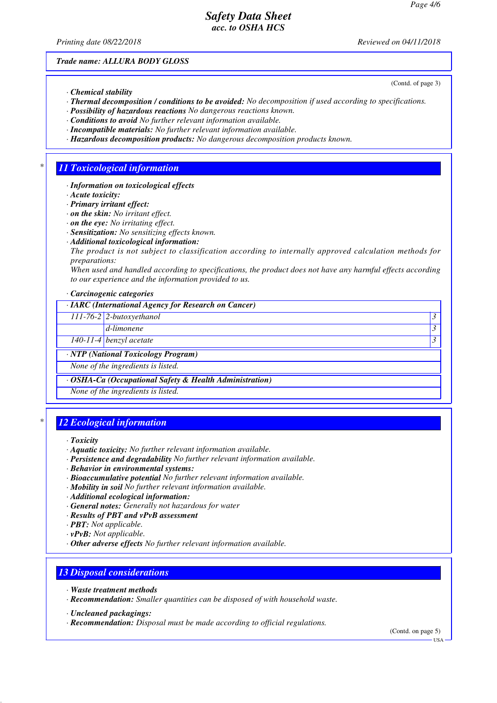*Printing date 08/22/2018 Reviewed on 04/11/2018*

(Contd. of page 3)

*Trade name: ALLURA BODY GLOSS*

- *· Chemical stability*
- *· Thermal decomposition / conditions to be avoided: No decomposition if used according to specifications.*
- *· Possibility of hazardous reactions No dangerous reactions known.*
- *· Conditions to avoid No further relevant information available.*
- *· Incompatible materials: No further relevant information available.*
- *· Hazardous decomposition products: No dangerous decomposition products known.*

### *\* 11 Toxicological information*

- *· Information on toxicological effects*
- *· Acute toxicity:*
- *· Primary irritant effect:*
- *· on the skin: No irritant effect.*
- *· on the eye: No irritating effect.*
- *· Sensitization: No sensitizing effects known.*
- *· Additional toxicological information:*
- *The product is not subject to classification according to internally approved calculation methods for preparations:*

*When used and handled according to specifications, the product does not have any harmful effects according to our experience and the information provided to us.*

*· Carcinogenic categories*

#### *· IARC (International Agency for Research on Cancer)*

*111-76-2 2-butoxyethanol 3* 

*d-limonene 3* 

*140-11-4 benzyl acetate 3* 

*· NTP (National Toxicology Program)*

*None of the ingredients is listed.*

*· OSHA-Ca (Occupational Safety & Health Administration)*

*None of the ingredients is listed.*

### *\* 12 Ecological information*

- *· Aquatic toxicity: No further relevant information available.*
- *· Persistence and degradability No further relevant information available.*
- *· Behavior in environmental systems:*
- *· Bioaccumulative potential No further relevant information available.*
- *· Mobility in soil No further relevant information available.*
- *· Additional ecological information:*
- *· General notes: Generally not hazardous for water*
- *· Results of PBT and vPvB assessment*
- *· PBT: Not applicable.*
- *· vPvB: Not applicable.*
- *· Other adverse effects No further relevant information available.*

### *13 Disposal considerations*

- *· Waste treatment methods*
- *· Recommendation: Smaller quantities can be disposed of with household waste.*
- *· Uncleaned packagings:*
- *· Recommendation: Disposal must be made according to official regulations.*

(Contd. on page 5)

USA

*<sup>·</sup> Toxicity*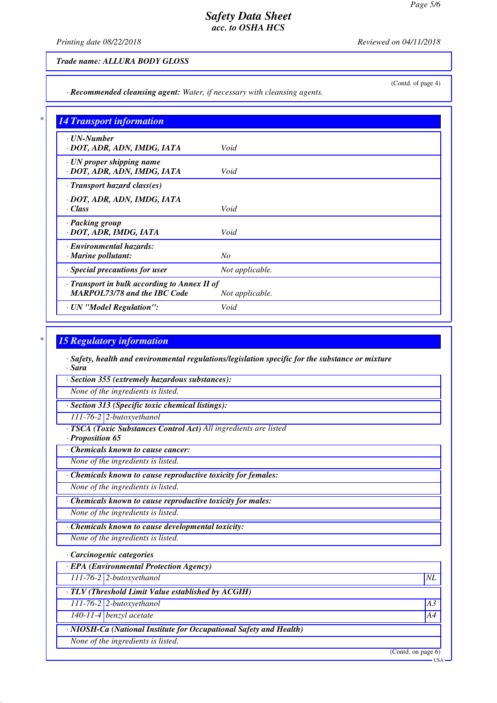*Printing date 08/22/2018 Reviewed on 04/11/2018*

(Contd. of page 4)

#### *Trade name: ALLURA BODY GLOSS*

*· Recommended cleansing agent: Water, if necessary with cleansing agents.*

| <b>14 Transport information</b>                                                     |                 |
|-------------------------------------------------------------------------------------|-----------------|
| $\cdot$ UN-Number<br>· DOT, ADR, ADN, IMDG, IATA                                    | Void            |
| · UN proper shipping name<br>· DOT, ADR, ADN, IMDG, IATA                            | Void            |
| · Transport hazard class(es)                                                        |                 |
| · DOT, ADR, ADN, IMDG, IATA<br>· Class                                              | Void            |
| · Packing group<br>· DOT, ADR, IMDG, IATA                                           | Void            |
| · Environmental hazards:<br>$\cdot$ Marine pollutant:                               | No              |
| · Special precautions for user                                                      | Not applicable. |
| · Transport in bulk according to Annex II of<br><b>MARPOL73/78 and the IBC Code</b> | Not applicable. |
| · UN "Model Regulation":                                                            | Void            |

#### *\* 15 Regulatory information*

*· Safety, health and environmental regulations/legislation specific for the substance or mixture · Sara*

*· Section 355 (extremely hazardous substances):*

*None of the ingredients is listed.*

- *· Section 313 (Specific toxic chemical listings):*
- *111-76-2 2-butoxyethanol*
- *· TSCA (Toxic Substances Control Act) All ingredients are listed*

*· Proposition 65*

*· Chemicals known to cause cancer:*

*None of the ingredients is listed.*

*· Chemicals known to cause reproductive toxicity for females:*

*None of the ingredients is listed.*

*· Chemicals known to cause reproductive toxicity for males:*

*None of the ingredients is listed.*

*· Chemicals known to cause developmental toxicity:*

*None of the ingredients is listed.*

*· Carcinogenic categories*

*· EPA (Environmental Protection Agency)*

*111-76-2 2-butoxyethanol NL*

*· TLV (Threshold Limit Value established by ACGIH)*

*111-76-2 2-butoxyethanol A3*

*140-11-4 benzyl acetate A4*

*· NIOSH-Ca (National Institute for Occupational Safety and Health)*

*None of the ingredients is listed.*

(Contd. on page 6)

USA